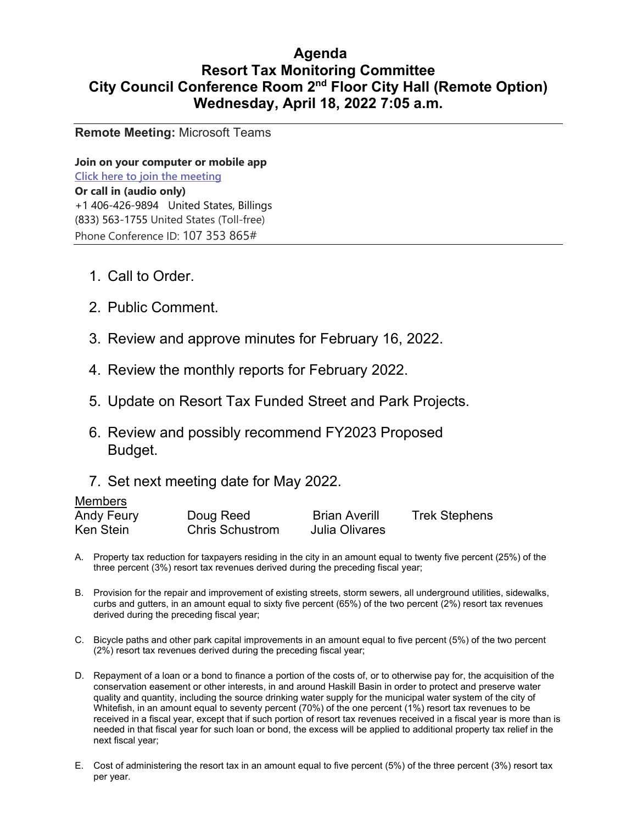## **Agenda Resort Tax Monitoring Committee City Council Conference Room 2nd Floor City Hall (Remote Option) Wednesday, April 18, 2022 7:05 a.m.**

**Remote Meeting:** Microsoft Teams

**Join on your computer or mobile app [Click here to join the meeting](https://teams.microsoft.com/l/meetup-join/19%3ameeting_NDliNzU2MjItYTRkMy00MzQyLWIzMGEtNzAzMTgyMmQyYmVl%40thread.v2/0?context=%7b%22Tid%22%3a%223c4380ae-5af2-43c9-b8ed-d34b6ce09d2b%22%2c%22Oid%22%3a%221a950eb4-1d50-487a-9a82-c43df687bdf7%22%7d) Or call in (audio only)** [+1 406-426-9894](tel:+14064269894,,107353865#%20) United States, Billings [\(833\) 563-1755](tel:8335631755,,107353865#%20) United States (Toll-free) Phone Conference ID: 107 353 865#

- 1. Call to Order.
- 2. Public Comment.
- 3. Review and approve minutes for February 16, 2022.
- 4. Review the monthly reports for February 2022.
- 5. Update on Resort Tax Funded Street and Park Projects.
- 6. Review and possibly recommend FY2023 Proposed Budget.
- 7. Set next meeting date for May 2022.

## Members

| <b>Andy Feury</b> | Doug Reed              | <b>Brian Averill</b>  | <b>Trek Stephens</b> |
|-------------------|------------------------|-----------------------|----------------------|
| Ken Stein         | <b>Chris Schustrom</b> | <b>Julia Olivares</b> |                      |

- A. Property tax reduction for taxpayers residing in the city in an amount equal to twenty five percent (25%) of the three percent (3%) resort tax revenues derived during the preceding fiscal year;
- B. Provision for the repair and improvement of existing streets, storm sewers, all underground utilities, sidewalks, curbs and gutters, in an amount equal to sixty five percent (65%) of the two percent (2%) resort tax revenues derived during the preceding fiscal year;
- C. Bicycle paths and other park capital improvements in an amount equal to five percent (5%) of the two percent (2%) resort tax revenues derived during the preceding fiscal year;
- D. Repayment of a loan or a bond to finance a portion of the costs of, or to otherwise pay for, the acquisition of the conservation easement or other interests, in and around Haskill Basin in order to protect and preserve water quality and quantity, including the source drinking water supply for the municipal water system of the city of Whitefish, in an amount equal to seventy percent (70%) of the one percent (1%) resort tax revenues to be received in a fiscal year, except that if such portion of resort tax revenues received in a fiscal year is more than is needed in that fiscal year for such loan or bond, the excess will be applied to additional property tax relief in the next fiscal year;
- E. Cost of administering the resort tax in an amount equal to five percent (5%) of the three percent (3%) resort tax per year.